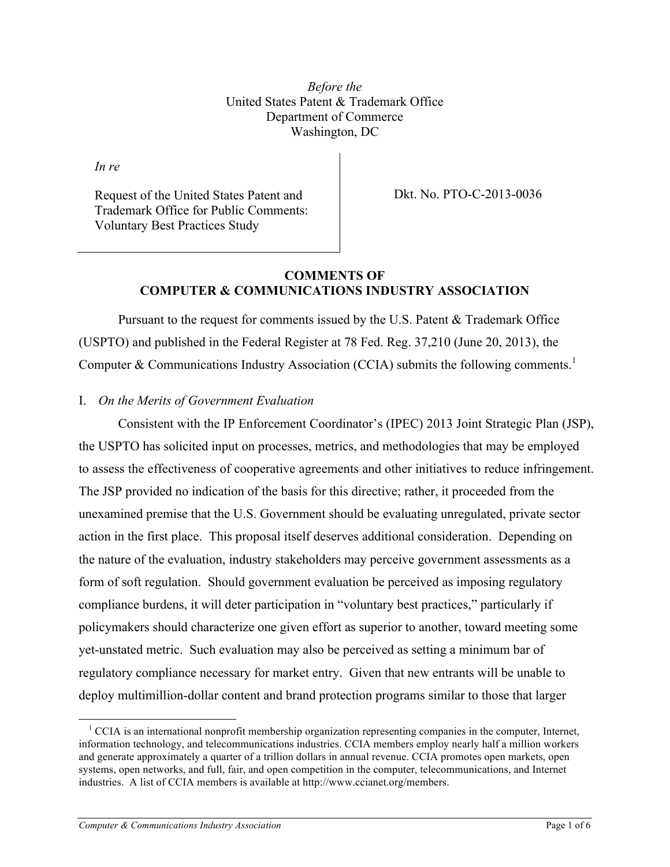*Before the* United States Patent & Trademark Office Department of Commerce Washington, DC

*In re* 

Request of the United States Patent and Trademark Office for Public Comments: Voluntary Best Practices Study

Dkt. No. PTO-C-2013-0036

### **COMMENTS OF COMPUTER & COMMUNICATIONS INDUSTRY ASSOCIATION**

Pursuant to the request for comments issued by the U.S. Patent & Trademark Office (USPTO) and published in the Federal Register at 78 Fed. Reg. 37,210 (June 20, 2013), the Computer & Communications Industry Association (CCIA) submits the following comments.<sup>1</sup>

# I. *On the Merits of Government Evaluation*

Consistent with the IP Enforcement Coordinator's (IPEC) 2013 Joint Strategic Plan (JSP), the USPTO has solicited input on processes, metrics, and methodologies that may be employed to assess the effectiveness of cooperative agreements and other initiatives to reduce infringement. The JSP provided no indication of the basis for this directive; rather, it proceeded from the unexamined premise that the U.S. Government should be evaluating unregulated, private sector action in the first place. This proposal itself deserves additional consideration. Depending on the nature of the evaluation, industry stakeholders may perceive government assessments as a form of soft regulation. Should government evaluation be perceived as imposing regulatory compliance burdens, it will deter participation in "voluntary best practices," particularly if policymakers should characterize one given effort as superior to another, toward meeting some yet-unstated metric. Such evaluation may also be perceived as setting a minimum bar of regulatory compliance necessary for market entry. Given that new entrants will be unable to deploy multimillion-dollar content and brand protection programs similar to those that larger

<sup>&</sup>lt;sup>1</sup> CCIA is an international nonprofit membership organization representing companies in the computer, Internet, information technology, and telecommunications industries. CCIA members employ nearly half a million workers and generate approximately a quarter of a trillion dollars in annual revenue. CCIA promotes open markets, open systems, open networks, and full, fair, and open competition in the computer, telecommunications, and Internet industries. A list of CCIA members is available at http://www.ccianet.org/members.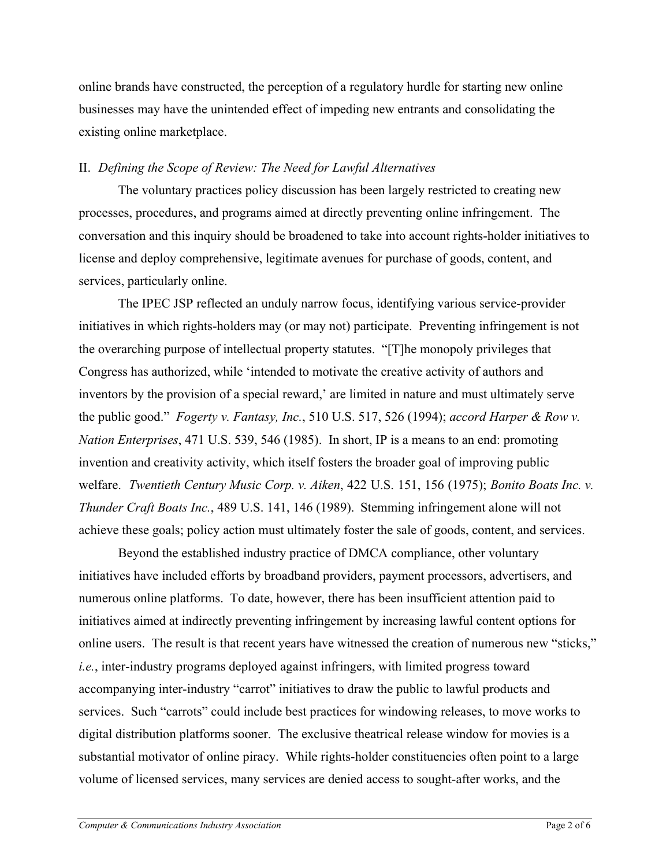online brands have constructed, the perception of a regulatory hurdle for starting new online businesses may have the unintended effect of impeding new entrants and consolidating the existing online marketplace.

# II. *Defining the Scope of Review: The Need for Lawful Alternatives*

The voluntary practices policy discussion has been largely restricted to creating new processes, procedures, and programs aimed at directly preventing online infringement. The conversation and this inquiry should be broadened to take into account rights-holder initiatives to license and deploy comprehensive, legitimate avenues for purchase of goods, content, and services, particularly online.

The IPEC JSP reflected an unduly narrow focus, identifying various service-provider initiatives in which rights-holders may (or may not) participate. Preventing infringement is not the overarching purpose of intellectual property statutes. "[T]he monopoly privileges that Congress has authorized, while 'intended to motivate the creative activity of authors and inventors by the provision of a special reward,' are limited in nature and must ultimately serve the public good." *Fogerty v. Fantasy, Inc.*, 510 U.S. 517, 526 (1994); *accord Harper & Row v. Nation Enterprises*, 471 U.S. 539, 546 (1985). In short, IP is a means to an end: promoting invention and creativity activity, which itself fosters the broader goal of improving public welfare. *Twentieth Century Music Corp. v. Aiken*, 422 U.S. 151, 156 (1975); *Bonito Boats Inc. v. Thunder Craft Boats Inc.*, 489 U.S. 141, 146 (1989). Stemming infringement alone will not achieve these goals; policy action must ultimately foster the sale of goods, content, and services.

Beyond the established industry practice of DMCA compliance, other voluntary initiatives have included efforts by broadband providers, payment processors, advertisers, and numerous online platforms. To date, however, there has been insufficient attention paid to initiatives aimed at indirectly preventing infringement by increasing lawful content options for online users. The result is that recent years have witnessed the creation of numerous new "sticks," *i.e.*, inter-industry programs deployed against infringers, with limited progress toward accompanying inter-industry "carrot" initiatives to draw the public to lawful products and services. Such "carrots" could include best practices for windowing releases, to move works to digital distribution platforms sooner. The exclusive theatrical release window for movies is a substantial motivator of online piracy. While rights-holder constituencies often point to a large volume of licensed services, many services are denied access to sought-after works, and the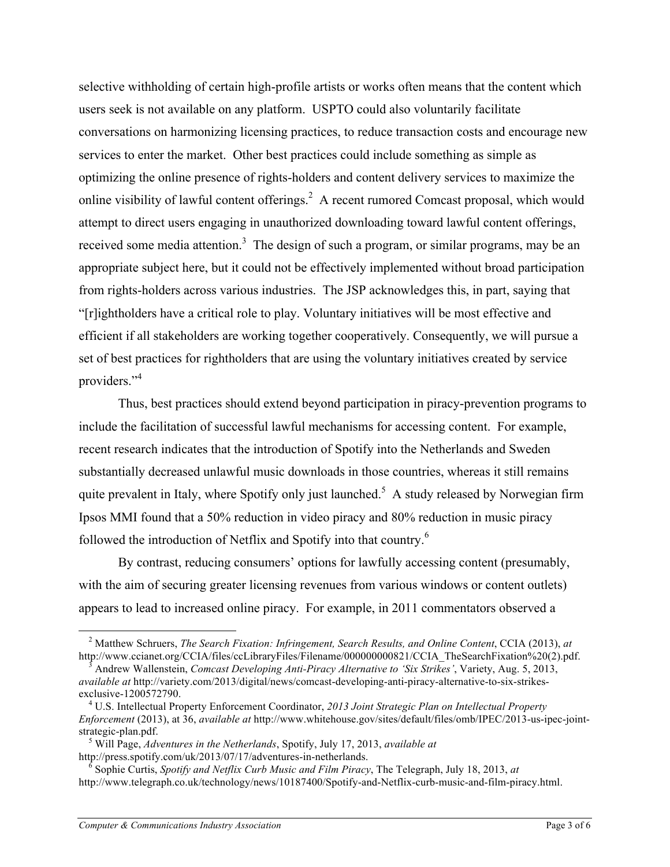selective withholding of certain high-profile artists or works often means that the content which users seek is not available on any platform. USPTO could also voluntarily facilitate conversations on harmonizing licensing practices, to reduce transaction costs and encourage new services to enter the market. Other best practices could include something as simple as optimizing the online presence of rights-holders and content delivery services to maximize the online visibility of lawful content offerings.<sup>2</sup> A recent rumored Comcast proposal, which would attempt to direct users engaging in unauthorized downloading toward lawful content offerings, received some media attention.<sup>3</sup> The design of such a program, or similar programs, may be an appropriate subject here, but it could not be effectively implemented without broad participation from rights-holders across various industries. The JSP acknowledges this, in part, saying that "[r]ightholders have a critical role to play. Voluntary initiatives will be most effective and efficient if all stakeholders are working together cooperatively. Consequently, we will pursue a set of best practices for rightholders that are using the voluntary initiatives created by service providers."<sup>4</sup>

Thus, best practices should extend beyond participation in piracy-prevention programs to include the facilitation of successful lawful mechanisms for accessing content. For example, recent research indicates that the introduction of Spotify into the Netherlands and Sweden substantially decreased unlawful music downloads in those countries, whereas it still remains quite prevalent in Italy, where Spotify only just launched.<sup>5</sup> A study released by Norwegian firm Ipsos MMI found that a 50% reduction in video piracy and 80% reduction in music piracy followed the introduction of Netflix and Spotify into that country.<sup>6</sup>

By contrast, reducing consumers' options for lawfully accessing content (presumably, with the aim of securing greater licensing revenues from various windows or content outlets) appears to lead to increased online piracy. For example, in 2011 commentators observed a

 <sup>2</sup> Matthew Schruers, *The Search Fixation: Infringement, Search Results, and Online Content*, CCIA (2013), *at* http://www.ccianet.org/CCIA/files/ccLibraryFiles/Filename/000000000821/CCIA\_TheSearchFixation%20(2).pdf. <sup>3</sup> Andrew Wallenstein, *Comcast Developing Anti-Piracy Alternative to 'Six Strikes'*, Variety, Aug. 5, 2013,

*available at* http://variety.com/2013/digital/news/comcast-developing-anti-piracy-alternative-to-six-strikesexclusive-1200572790. <sup>4</sup> U.S. Intellectual Property Enforcement Coordinator, *2013 Joint Strategic Plan on Intellectual Property* 

*Enforcement* (2013), at 36, *available at* http://www.whitehouse.gov/sites/default/files/omb/IPEC/2013-us-ipec-jointstrategic-plan.pdf. <sup>5</sup> Will Page, *Adventures in the Netherlands*, Spotify, July 17, 2013, *available at*

http://press.spotify.com/uk/2013/07/17/adventures-in-netherlands. <sup>6</sup> Sophie Curtis, *Spotify and Netflix Curb Music and Film Piracy*, The Telegraph, July 18, 2013, *at*

http://www.telegraph.co.uk/technology/news/10187400/Spotify-and-Netflix-curb-music-and-film-piracy.html.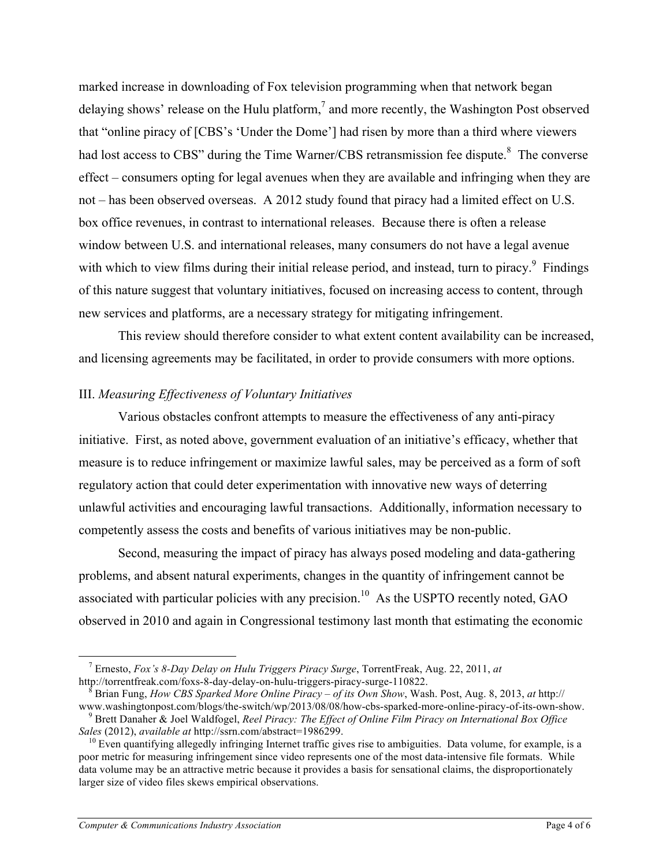marked increase in downloading of Fox television programming when that network began delaying shows' release on the Hulu platform,<sup>7</sup> and more recently, the Washington Post observed that "online piracy of [CBS's 'Under the Dome'] had risen by more than a third where viewers had lost access to CBS" during the Time Warner/CBS retransmission fee dispute.<sup>8</sup> The converse effect – consumers opting for legal avenues when they are available and infringing when they are not – has been observed overseas. A 2012 study found that piracy had a limited effect on U.S. box office revenues, in contrast to international releases. Because there is often a release window between U.S. and international releases, many consumers do not have a legal avenue with which to view films during their initial release period, and instead, turn to piracy.<sup>9</sup> Findings of this nature suggest that voluntary initiatives, focused on increasing access to content, through new services and platforms, are a necessary strategy for mitigating infringement.

This review should therefore consider to what extent content availability can be increased, and licensing agreements may be facilitated, in order to provide consumers with more options.

### III. *Measuring Effectiveness of Voluntary Initiatives*

Various obstacles confront attempts to measure the effectiveness of any anti-piracy initiative. First, as noted above, government evaluation of an initiative's efficacy, whether that measure is to reduce infringement or maximize lawful sales, may be perceived as a form of soft regulatory action that could deter experimentation with innovative new ways of deterring unlawful activities and encouraging lawful transactions. Additionally, information necessary to competently assess the costs and benefits of various initiatives may be non-public.

Second, measuring the impact of piracy has always posed modeling and data-gathering problems, and absent natural experiments, changes in the quantity of infringement cannot be associated with particular policies with any precision.<sup>10</sup> As the USPTO recently noted, GAO observed in 2010 and again in Congressional testimony last month that estimating the economic

 <sup>7</sup> Ernesto, *Fox's 8-Day Delay on Hulu Triggers Piracy Surge*, TorrentFreak, Aug. 22, 2011, *at* 

<sup>&</sup>lt;sup>8</sup> Brian Fung, *How CBS Sparked More Online Piracy – of its Own Show*, Wash. Post, Aug. 8, 2013, *at* http://<br>www.washingtonpost.com/blogs/the-switch/wp/2013/08/08/how-cbs-sparked-more-online-piracy-of-its-own-show.

<sup>&</sup>lt;sup>9</sup> Brett Danaher & Joel Waldfogel, *Reel Piracy: The Effect of Online Film Piracy on International Box Office Sales (2012), <i>available at http://ssrn.com/abstract=1986299.* 

<sup>&</sup>lt;sup>10</sup> Even quantifying allegedly infringing Internet traffic gives rise to ambiguities. Data volume, for example, is a poor metric for measuring infringement since video represents one of the most data-intensive file formats. While data volume may be an attractive metric because it provides a basis for sensational claims, the disproportionately larger size of video files skews empirical observations.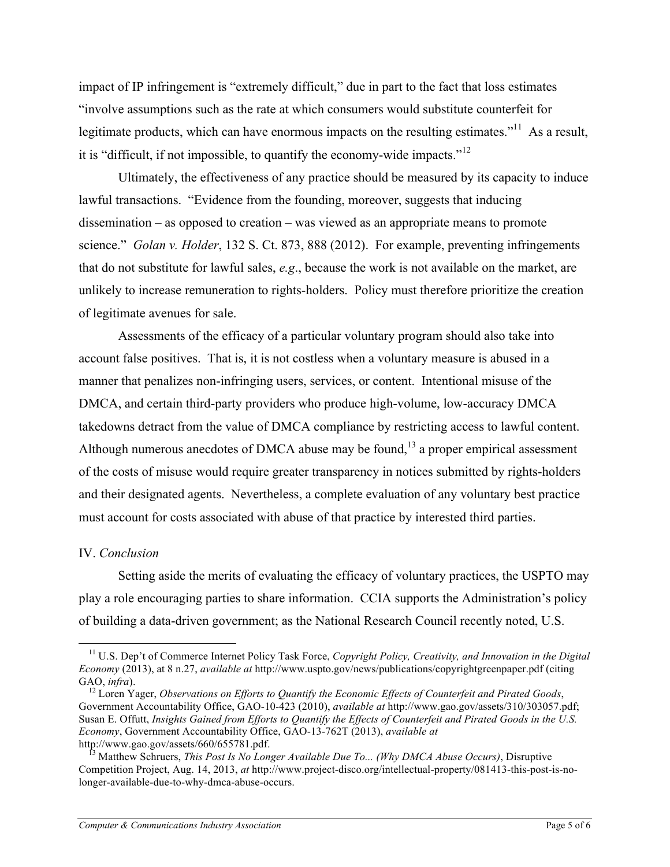impact of IP infringement is "extremely difficult," due in part to the fact that loss estimates "involve assumptions such as the rate at which consumers would substitute counterfeit for legitimate products, which can have enormous impacts on the resulting estimates."<sup>11</sup> As a result, it is "difficult, if not impossible, to quantify the economy-wide impacts."<sup>12</sup>

Ultimately, the effectiveness of any practice should be measured by its capacity to induce lawful transactions. "Evidence from the founding, moreover, suggests that inducing dissemination – as opposed to creation – was viewed as an appropriate means to promote science." *Golan v. Holder*, 132 S. Ct. 873, 888 (2012). For example, preventing infringements that do not substitute for lawful sales, *e.g*., because the work is not available on the market, are unlikely to increase remuneration to rights-holders. Policy must therefore prioritize the creation of legitimate avenues for sale.

Assessments of the efficacy of a particular voluntary program should also take into account false positives. That is, it is not costless when a voluntary measure is abused in a manner that penalizes non-infringing users, services, or content. Intentional misuse of the DMCA, and certain third-party providers who produce high-volume, low-accuracy DMCA takedowns detract from the value of DMCA compliance by restricting access to lawful content. Although numerous anecdotes of DMCA abuse may be found,  $^{13}$  a proper empirical assessment of the costs of misuse would require greater transparency in notices submitted by rights-holders and their designated agents. Nevertheless, a complete evaluation of any voluntary best practice must account for costs associated with abuse of that practice by interested third parties.

# IV. *Conclusion*

Setting aside the merits of evaluating the efficacy of voluntary practices, the USPTO may play a role encouraging parties to share information. CCIA supports the Administration's policy of building a data-driven government; as the National Research Council recently noted, U.S.

 <sup>11</sup> U.S. Dep't of Commerce Internet Policy Task Force, *Copyright Policy, Creativity, and Innovation in the Digital Economy* (2013), at 8 n.27, *available at* http://www.uspto.gov/news/publications/copyrightgreenpaper.pdf (citing GAO, *infra*).<br><sup>12</sup> Loren Yager, *Observations on Efforts to Quantify the Economic Effects of Counterfeit and Pirated Goods,* 

Government Accountability Office, GAO-10-423 (2010), *available at* http://www.gao.gov/assets/310/303057.pdf; Susan E. Offutt, *Insights Gained from Efforts to Quantify the Effects of Counterfeit and Pirated Goods in the U.S. Economy*, Government Accountability Office, GAO-13-762T (2013), *available at*

http://www.gao.gov/assets/660/655781.pdf. <sup>13</sup> Matthew Schruers, *This Post Is No Longer Available Due To... (Why DMCA Abuse Occurs)*, Disruptive Competition Project, Aug. 14, 2013, *at* http://www.project-disco.org/intellectual-property/081413-this-post-is-nolonger-available-due-to-why-dmca-abuse-occurs.